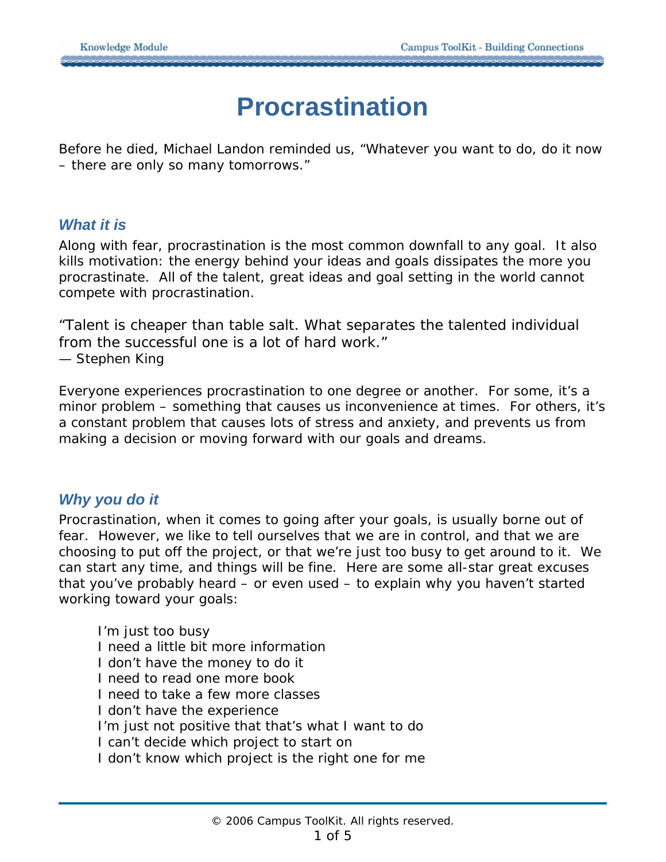# **Procrastination**

Before he died, Michael Landon reminded us, "Whatever you want to do, do it now – there are only so many tomorrows."

## *What it is*

Along with fear, procrastination is the most common downfall to any goal. It also kills motivation: the energy behind your ideas and goals dissipates the more you procrastinate. All of the talent, great ideas and goal setting in the world cannot compete with procrastination.

*"Talent is cheaper than table salt. What separates the talented individual from the successful one is a lot of hard work."* — Stephen King

Everyone experiences procrastination to one degree or another. For some, it's a minor problem – something that causes us inconvenience at times. For others, it's a constant problem that causes lots of stress and anxiety, and prevents us from making a decision or moving forward with our goals and dreams.

# *Why you do it*

Procrastination, when it comes to going after your goals, is usually borne out of fear. However, we like to tell ourselves that we are in control, and that we are *choosing* to put off the project, or that we're just too busy to get around to it. We can start any time, and things will be fine. Here are some all-star great excuses that you've probably heard – or even used – to explain why you haven't started working toward your goals:

 I'm just too busy I need a little bit more information I don't have the money to do it I need to read one more book I need to take a few more classes I don't have the experience I'm just not positive that that's what I want to do I can't decide which project to start on I don't know which project is the right one for me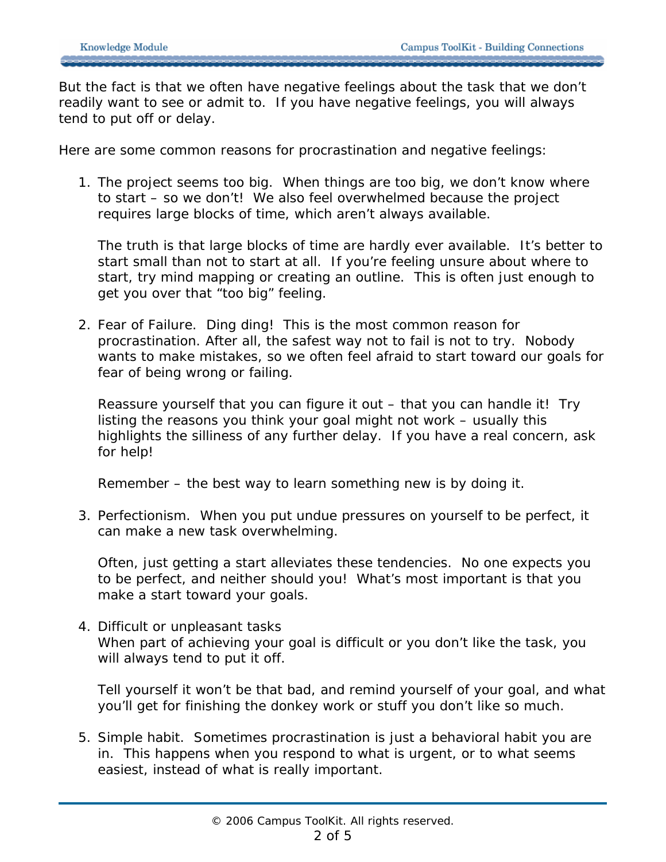But the fact is that we often have negative feelings about the task that we don't readily want to see or admit to. If you have negative feelings, you will always tend to put off or delay.

Here are some common reasons for procrastination and negative feelings:

1. The project seems too big. When things are too big, we don't know where to start – so we don't! We also feel overwhelmed because the project requires large blocks of time, which aren't always available.

The truth is that large blocks of time are hardly ever available. It's better to start small than not to start at all. If you're feeling unsure about where to start, try mind mapping or creating an outline. This is often just enough to get you over that "too big" feeling.

2. Fear of Failure. Ding ding! This is the most common reason for procrastination. After all, the safest way not to fail is not to try. Nobody wants to make mistakes, so we often feel afraid to start toward our goals for fear of being wrong or failing.

Reassure yourself that you can figure it out – that you can handle it! Try listing the reasons you think your goal might not work – usually this highlights the silliness of any further delay. If you have a real concern, ask for help!

Remember – the best way to learn something new is by doing it.

3. Perfectionism. When you put undue pressures on yourself to be perfect, it can make a new task overwhelming.

Often, just getting a start alleviates these tendencies. No one expects you to be perfect, and neither should you! What's most important is that you make a start toward your goals.

4. Difficult or unpleasant tasks When part of achieving your goal is difficult or you don't like the task, you will always tend to put it off.

Tell yourself it won't be that bad, and remind yourself of your goal, and what you'll get for finishing the donkey work or stuff you don't like so much.

5. Simple habit. Sometimes procrastination is just a behavioral habit you are in. This happens when you respond to what is urgent, or to what seems easiest, instead of what is really important.